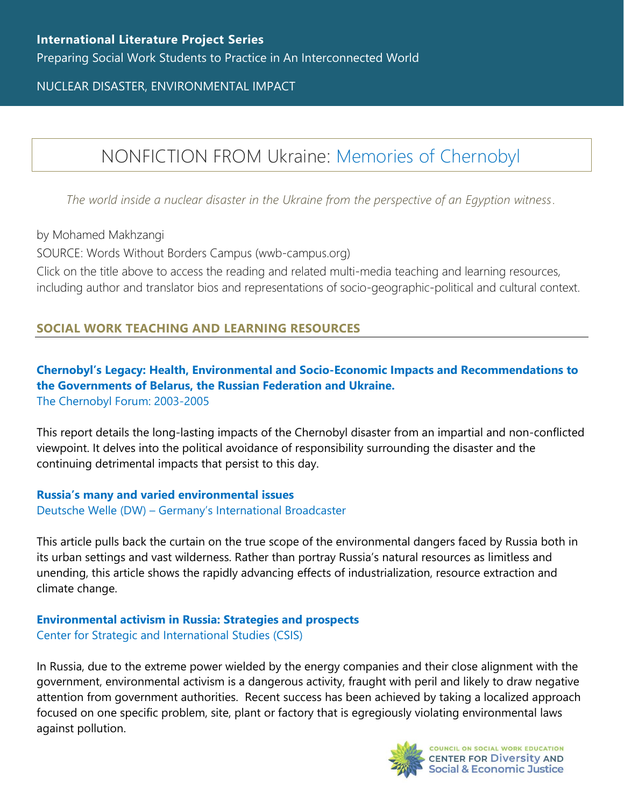NUCLEAR DISASTER, ENVIRONMENTAL IMPACT

# NONFICTION FROM Ukraine: [Memories of Chernobyl](https://www.wwb-campus.org/literature/memories-of-chernobyl)

*The world inside a nuclear disaster in the Ukraine from the perspective of an Egyption witness.*

by Mohamed Makhzangi

SOURCE: Words Without Borders Campus (wwb-campus.org)

Click on the title above to access the reading and related multi-media teaching and learning resources, including author and translator bios and representations of socio-geographic-political and cultural context.

## **SOCIAL WORK TEACHING AND LEARNING RESOURCES**

#### **[Chernobyl's Legacy: Health, Environmental and Socio](https://www.iaea.org/sites/default/files/chernobyl.pdf)-Economic Impacts and Recommendations to [the Governments of Belarus, the Russian Federation and Ukraine.](https://www.iaea.org/sites/default/files/chernobyl.pdf)** [The Chernobyl Forum: 2003-2005](https://www.iaea.org/sites/default/files/chernobyl.pdf)

This report details the long-lasting impacts of the Chernobyl disaster from an impartial and non-conflicted viewpoint. It delves into the political avoidance of responsibility surrounding the disaster and the continuing detrimental impacts that persist to this day.

**[Russia's many and varied environmental issues](https://www.dw.com/en/russias-many-and-varied-environmental-issues/av-57711161)** Deutsche Welle (DW) – [Germany's International Broadcaster](https://www.dw.com/en/russias-many-and-varied-environmental-issues/av-57711161)

This article pulls back the curtain on the true scope of the environmental dangers faced by Russia both in its urban settings and vast wilderness. Rather than portray Russia's natural resources as limitless and unending, this article shows the rapidly advancing effects of industrialization, resource extraction and climate change.

#### **[Environmental activism in Russia: Strategies and prospects](https://www.csis.org/analysis/environmental-activism-russia-strategies-and-prospects)** [Center for Strategic and International Studies \(CSIS\)](https://www.csis.org/analysis/environmental-activism-russia-strategies-and-prospects)

In Russia, due to the extreme power wielded by the energy companies and their close alignment with the government, environmental activism is a dangerous activity, fraught with peril and likely to draw negative attention from government authorities. Recent success has been achieved by taking a localized approach focused on one specific problem, site, plant or factory that is egregiously violating environmental laws against pollution.